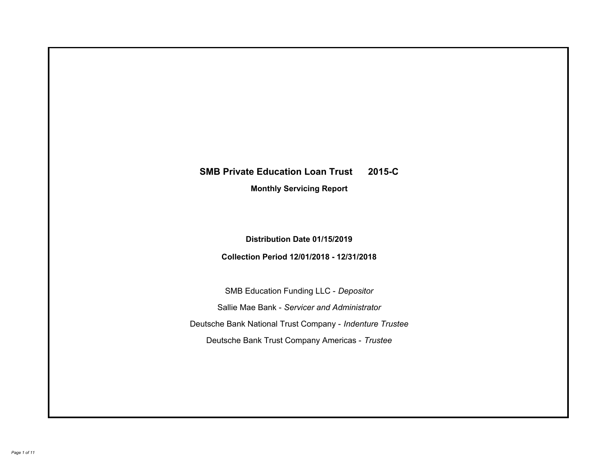# **SMB Private Education Loan Trust 2015-C Monthly Servicing Report**

## **Distribution Date 01/15/2019**

## **Collection Period 12/01/2018 - 12/31/2018**

SMB Education Funding LLC - *Depositor* Sallie Mae Bank - *Servicer and Administrator* Deutsche Bank National Trust Company - *Indenture Trustee* Deutsche Bank Trust Company Americas - *Trustee*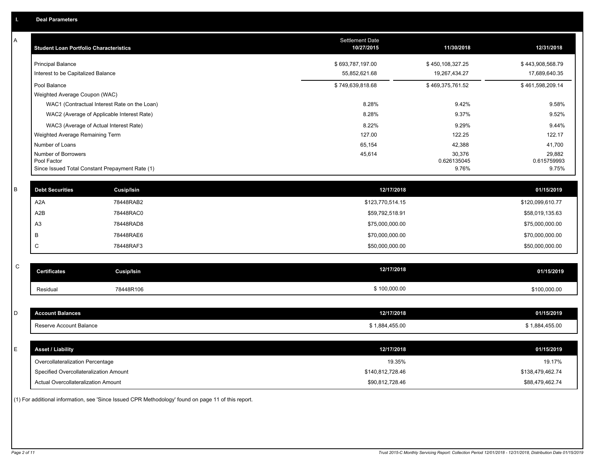| A            | <b>Student Loan Portfolio Characteristics</b>   |                                              | Settlement Date<br>10/27/2015 | 11/30/2018            | 12/31/2018            |
|--------------|-------------------------------------------------|----------------------------------------------|-------------------------------|-----------------------|-----------------------|
|              | <b>Principal Balance</b>                        |                                              | \$693,787,197.00              | \$450,108,327.25      | \$443,908,568.79      |
|              | Interest to be Capitalized Balance              |                                              | 55,852,621.68                 | 19,267,434.27         | 17,689,640.35         |
|              | Pool Balance                                    |                                              | \$749,639,818.68              | \$469,375,761.52      | \$461,598,209.14      |
|              | Weighted Average Coupon (WAC)                   |                                              |                               |                       |                       |
|              |                                                 | WAC1 (Contractual Interest Rate on the Loan) | 8.28%                         | 9.42%                 | 9.58%                 |
|              |                                                 | WAC2 (Average of Applicable Interest Rate)   | 8.28%                         | 9.37%                 | 9.52%                 |
|              | WAC3 (Average of Actual Interest Rate)          |                                              | 8.22%                         | 9.29%                 | 9.44%                 |
|              | Weighted Average Remaining Term                 |                                              | 127.00                        | 122.25                | 122.17                |
|              | Number of Loans                                 |                                              | 65,154                        | 42,388                | 41,700                |
|              | Number of Borrowers<br>Pool Factor              |                                              | 45,614                        | 30,376<br>0.626135045 | 29,882<br>0.615759993 |
|              | Since Issued Total Constant Prepayment Rate (1) |                                              |                               | 9.76%                 | 9.75%                 |
|              |                                                 |                                              |                               |                       |                       |
| $\sf B$      | <b>Debt Securities</b>                          | Cusip/Isin                                   | 12/17/2018                    |                       | 01/15/2019            |
|              | A <sub>2</sub> A                                | 78448RAB2                                    | \$123,770,514.15              |                       | \$120,099,610.77      |
|              | A <sub>2</sub> B                                | 78448RAC0                                    | \$59,792,518.91               |                       | \$58,019,135.63       |
|              | A <sub>3</sub>                                  | 78448RAD8                                    | \$75,000,000.00               |                       | \$75,000,000.00       |
|              | В                                               | 78448RAE6                                    | \$70,000,000.00               |                       | \$70,000,000.00       |
|              | C                                               | 78448RAF3                                    | \$50,000,000.00               |                       | \$50,000,000.00       |
|              |                                                 |                                              |                               |                       |                       |
| $\mathsf{C}$ | <b>Certificates</b>                             | <b>Cusip/Isin</b>                            | 12/17/2018                    |                       | 01/15/2019            |
|              | Residual                                        | 78448R106                                    | \$100,000.00                  |                       | \$100,000.00          |
|              |                                                 |                                              |                               |                       |                       |
| D            | <b>Account Balances</b>                         |                                              | 12/17/2018                    |                       | 01/15/2019            |
|              | Reserve Account Balance                         |                                              | \$1,884,455.00                |                       | \$1,884,455.00        |
|              |                                                 |                                              |                               |                       |                       |
| Ε            | <b>Asset / Liability</b>                        |                                              | 12/17/2018                    |                       | 01/15/2019            |
|              | Overcollateralization Percentage                |                                              | 19.35%                        |                       | 19.17%                |
|              | Specified Overcollateralization Amount          |                                              | \$140,812,728.46              |                       | \$138,479,462.74      |
|              | Actual Overcollateralization Amount             |                                              | \$90,812,728.46               |                       | \$88,479,462.74       |

(1) For additional information, see 'Since Issued CPR Methodology' found on page 11 of this report.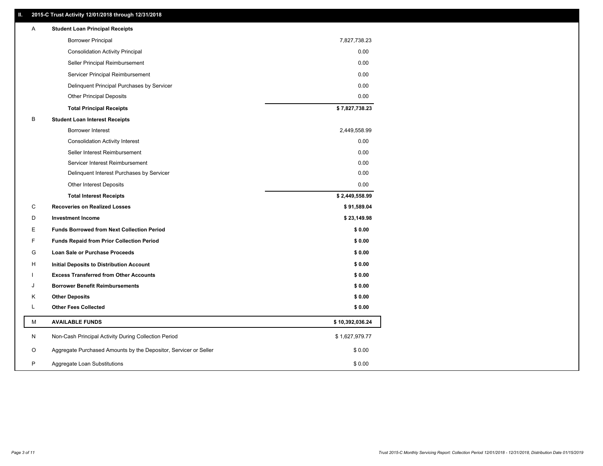### **II. 2015-C Trust Activity 12/01/2018 through 12/31/2018**

| Α | <b>Student Loan Principal Receipts</b>                           |                 |
|---|------------------------------------------------------------------|-----------------|
|   | <b>Borrower Principal</b>                                        | 7,827,738.23    |
|   | <b>Consolidation Activity Principal</b>                          | 0.00            |
|   | Seller Principal Reimbursement                                   | 0.00            |
|   | Servicer Principal Reimbursement                                 | 0.00            |
|   | Delinquent Principal Purchases by Servicer                       | 0.00            |
|   | <b>Other Principal Deposits</b>                                  | 0.00            |
|   | <b>Total Principal Receipts</b>                                  | \$7,827,738.23  |
| В | <b>Student Loan Interest Receipts</b>                            |                 |
|   | <b>Borrower Interest</b>                                         | 2,449,558.99    |
|   | <b>Consolidation Activity Interest</b>                           | 0.00            |
|   | Seller Interest Reimbursement                                    | 0.00            |
|   | Servicer Interest Reimbursement                                  | 0.00            |
|   | Delinquent Interest Purchases by Servicer                        | 0.00            |
|   | Other Interest Deposits                                          | 0.00            |
|   | <b>Total Interest Receipts</b>                                   | \$2,449,558.99  |
| C | <b>Recoveries on Realized Losses</b>                             | \$91,589.04     |
| D | <b>Investment Income</b>                                         | \$23,149.98     |
| Е | <b>Funds Borrowed from Next Collection Period</b>                | \$0.00          |
| F | <b>Funds Repaid from Prior Collection Period</b>                 | \$0.00          |
| G | Loan Sale or Purchase Proceeds                                   | \$0.00          |
| н | Initial Deposits to Distribution Account                         | \$0.00          |
|   | <b>Excess Transferred from Other Accounts</b>                    | \$0.00          |
| J | <b>Borrower Benefit Reimbursements</b>                           | \$0.00          |
| Κ | <b>Other Deposits</b>                                            | \$0.00          |
| L | <b>Other Fees Collected</b>                                      | \$0.00          |
| M | <b>AVAILABLE FUNDS</b>                                           | \$10,392,036.24 |
| N | Non-Cash Principal Activity During Collection Period             | \$1,627,979.77  |
| O | Aggregate Purchased Amounts by the Depositor, Servicer or Seller | \$0.00          |
| P | Aggregate Loan Substitutions                                     | \$0.00          |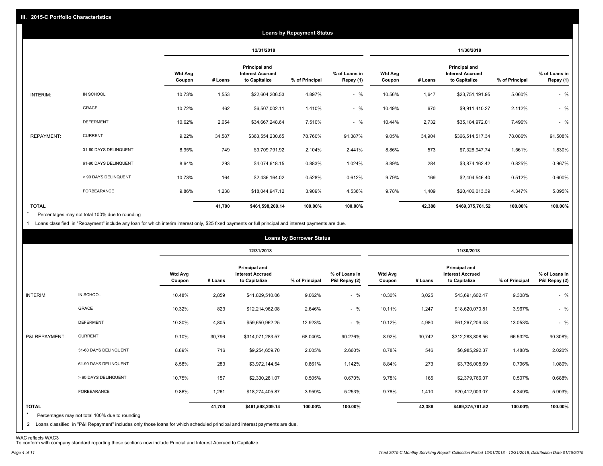|                   |                       |                          |         |                                                           | <b>Loans by Repayment Status</b> |                            |                          |         |                                                           |                |                            |
|-------------------|-----------------------|--------------------------|---------|-----------------------------------------------------------|----------------------------------|----------------------------|--------------------------|---------|-----------------------------------------------------------|----------------|----------------------------|
|                   |                       |                          |         | 12/31/2018                                                |                                  |                            |                          |         | 11/30/2018                                                |                |                            |
|                   |                       | <b>Wtd Avg</b><br>Coupon | # Loans | Principal and<br><b>Interest Accrued</b><br>to Capitalize | % of Principal                   | % of Loans in<br>Repay (1) | <b>Wtd Avg</b><br>Coupon | # Loans | Principal and<br><b>Interest Accrued</b><br>to Capitalize | % of Principal | % of Loans in<br>Repay (1) |
| INTERIM:          | IN SCHOOL             | 10.73%                   | 1,553   | \$22,604,206.53                                           | 4.897%                           | $-$ %                      | 10.56%                   | 1,647   | \$23,751,191.95                                           | 5.060%         | $-$ %                      |
|                   | <b>GRACE</b>          | 10.72%                   | 462     | \$6,507,002.11                                            | 1.410%                           | $-$ %                      | 10.49%                   | 670     | \$9,911,410.27                                            | 2.112%         | $-$ %                      |
|                   | <b>DEFERMENT</b>      | 10.62%                   | 2,654   | \$34,667,248.64                                           | 7.510%                           | $-$ %                      | 10.44%                   | 2,732   | \$35,184,972.01                                           | 7.496%         | $-$ %                      |
| <b>REPAYMENT:</b> | <b>CURRENT</b>        | 9.22%                    | 34,587  | \$363,554,230.65                                          | 78.760%                          | 91.387%                    | 9.05%                    | 34,904  | \$366,514,517.34                                          | 78.086%        | 91.508%                    |
|                   | 31-60 DAYS DELINQUENT | 8.95%                    | 749     | \$9,709,791.92                                            | 2.104%                           | 2.441%                     | 8.86%                    | 573     | \$7,328,947.74                                            | 1.561%         | 1.830%                     |
|                   | 61-90 DAYS DELINQUENT | 8.64%                    | 293     | \$4,074,618.15                                            | 0.883%                           | 1.024%                     | 8.89%                    | 284     | \$3,874,162.42                                            | 0.825%         | 0.967%                     |
|                   | > 90 DAYS DELINQUENT  | 10.73%                   | 164     | \$2,436,164.02                                            | 0.528%                           | 0.612%                     | 9.79%                    | 169     | \$2,404,546.40                                            | 0.512%         | 0.600%                     |
|                   | FORBEARANCE           | 9.86%                    | 1,238   | \$18,044,947.12                                           | 3.909%                           | 4.536%                     | 9.78%                    | 1,409   | \$20,406,013.39                                           | 4.347%         | 5.095%                     |
| <b>TOTAL</b>      |                       |                          | 41,700  | \$461,598,209.14                                          | 100.00%                          | 100.00%                    |                          | 42,388  | \$469,375,761.52                                          | 100.00%        | 100.00%                    |

Percentages may not total 100% due to rounding  $\star$ 

1 Loans classified in "Repayment" include any loan for which interim interest only, \$25 fixed payments or full principal and interest payments are due.

| 12/31/2018<br>11/30/2018<br>Principal and<br>Principal and<br><b>Wtd Avg</b><br><b>Interest Accrued</b><br>% of Loans in<br><b>Wtd Avg</b><br><b>Interest Accrued</b><br>to Capitalize<br>P&I Repay (2)<br>to Capitalize<br>% of Principal<br># Loans<br>% of Principal<br>Coupon<br>Coupon<br># Loans<br>IN SCHOOL<br>$-$ %<br>INTERIM:<br>10.48%<br>2,859<br>9.062%<br>10.30%<br>3,025<br>9.308%<br>\$41,829,510.06<br>\$43,691,602.47<br>GRACE<br>$-$ %<br>10.11%<br>10.32%<br>823<br>\$12,214,962.08<br>2.646%<br>1,247<br>\$18,620,070.81<br>3.967%<br><b>DEFERMENT</b><br>$-$ %<br>10.30%<br>4,805<br>12.923%<br>10.12%<br>\$59,650,962.25<br>4,980<br>\$61,267,209.48<br>13.053%<br><b>CURRENT</b><br>P&I REPAYMENT:<br>9.10%<br>30,796<br>8.92%<br>30,742<br>\$314,071,283.57<br>68.040%<br>90.276%<br>\$312,283,808.56<br>66.532%<br>716<br>546<br>31-60 DAYS DELINQUENT<br>8.89%<br>2.005%<br>2.660%<br>8.78%<br>1.488%<br>\$9,254,659.70<br>\$6,985,292.37<br>61-90 DAYS DELINQUENT<br>8.58%<br>283<br>0.861%<br>1.142%<br>273<br>\$3,972,144.54<br>8.84%<br>\$3,736,008.69<br>0.796%<br>157<br>> 90 DAYS DELINQUENT<br>10.75%<br>0.670%<br>9.78%<br>165<br>0.507%<br>\$2,330,281.07<br>0.505%<br>\$2,379,766.07<br>FORBEARANCE<br>1,261<br>9.86%<br>3.959%<br>5.253%<br>9.78%<br>1,410<br>\$18,274,405.87<br>\$20,412,003.07<br>4.349% |  |  | <b>Loans by Borrower Status</b> |  |  |                                |
|----------------------------------------------------------------------------------------------------------------------------------------------------------------------------------------------------------------------------------------------------------------------------------------------------------------------------------------------------------------------------------------------------------------------------------------------------------------------------------------------------------------------------------------------------------------------------------------------------------------------------------------------------------------------------------------------------------------------------------------------------------------------------------------------------------------------------------------------------------------------------------------------------------------------------------------------------------------------------------------------------------------------------------------------------------------------------------------------------------------------------------------------------------------------------------------------------------------------------------------------------------------------------------------------------------------------------------------------------|--|--|---------------------------------|--|--|--------------------------------|
|                                                                                                                                                                                                                                                                                                                                                                                                                                                                                                                                                                                                                                                                                                                                                                                                                                                                                                                                                                                                                                                                                                                                                                                                                                                                                                                                                    |  |  |                                 |  |  |                                |
|                                                                                                                                                                                                                                                                                                                                                                                                                                                                                                                                                                                                                                                                                                                                                                                                                                                                                                                                                                                                                                                                                                                                                                                                                                                                                                                                                    |  |  |                                 |  |  | % of Loans in<br>P&I Repay (2) |
|                                                                                                                                                                                                                                                                                                                                                                                                                                                                                                                                                                                                                                                                                                                                                                                                                                                                                                                                                                                                                                                                                                                                                                                                                                                                                                                                                    |  |  |                                 |  |  | $-$ %                          |
|                                                                                                                                                                                                                                                                                                                                                                                                                                                                                                                                                                                                                                                                                                                                                                                                                                                                                                                                                                                                                                                                                                                                                                                                                                                                                                                                                    |  |  |                                 |  |  | $-$ %                          |
|                                                                                                                                                                                                                                                                                                                                                                                                                                                                                                                                                                                                                                                                                                                                                                                                                                                                                                                                                                                                                                                                                                                                                                                                                                                                                                                                                    |  |  |                                 |  |  | $-$ %                          |
|                                                                                                                                                                                                                                                                                                                                                                                                                                                                                                                                                                                                                                                                                                                                                                                                                                                                                                                                                                                                                                                                                                                                                                                                                                                                                                                                                    |  |  |                                 |  |  | 90.308%                        |
|                                                                                                                                                                                                                                                                                                                                                                                                                                                                                                                                                                                                                                                                                                                                                                                                                                                                                                                                                                                                                                                                                                                                                                                                                                                                                                                                                    |  |  |                                 |  |  | 2.020%                         |
|                                                                                                                                                                                                                                                                                                                                                                                                                                                                                                                                                                                                                                                                                                                                                                                                                                                                                                                                                                                                                                                                                                                                                                                                                                                                                                                                                    |  |  |                                 |  |  | 1.080%                         |
|                                                                                                                                                                                                                                                                                                                                                                                                                                                                                                                                                                                                                                                                                                                                                                                                                                                                                                                                                                                                                                                                                                                                                                                                                                                                                                                                                    |  |  |                                 |  |  | 0.688%                         |
|                                                                                                                                                                                                                                                                                                                                                                                                                                                                                                                                                                                                                                                                                                                                                                                                                                                                                                                                                                                                                                                                                                                                                                                                                                                                                                                                                    |  |  |                                 |  |  | 5.903%                         |
| <b>TOTAL</b><br>100.00%<br>41,700<br>100.00%<br>42,388<br>100.00%<br>\$461,598,209.14<br>\$469,375,761.52<br>$\star$<br>Percentages may not total 100% due to rounding<br>2 Loans classified in "P&I Repayment" includes only those loans for which scheduled principal and interest payments are due.                                                                                                                                                                                                                                                                                                                                                                                                                                                                                                                                                                                                                                                                                                                                                                                                                                                                                                                                                                                                                                             |  |  |                                 |  |  | 100.00%                        |

WAC reflects WAC3 To conform with company standard reporting these sections now include Princial and Interest Accrued to Capitalize.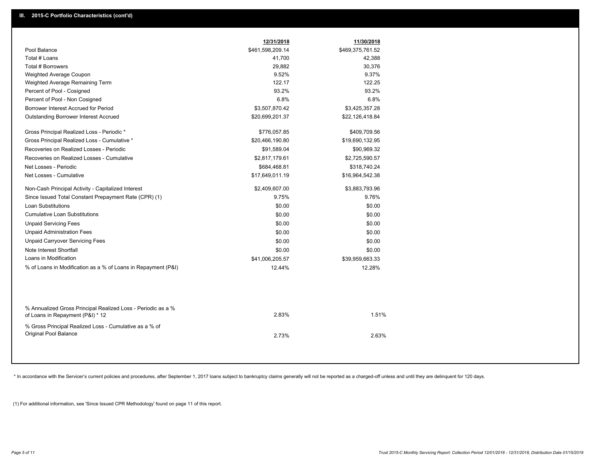|                                                                                                  | 12/31/2018       | 11/30/2018       |
|--------------------------------------------------------------------------------------------------|------------------|------------------|
| Pool Balance                                                                                     | \$461,598,209.14 | \$469,375,761.52 |
| Total # Loans                                                                                    | 41,700           | 42,388           |
| Total # Borrowers                                                                                | 29,882           | 30,376           |
| Weighted Average Coupon                                                                          | 9.52%            | 9.37%            |
| Weighted Average Remaining Term                                                                  | 122.17           | 122.25           |
| Percent of Pool - Cosigned                                                                       | 93.2%            | 93.2%            |
| Percent of Pool - Non Cosigned                                                                   | 6.8%             | 6.8%             |
| Borrower Interest Accrued for Period                                                             | \$3,507,870.42   | \$3,425,357.28   |
| <b>Outstanding Borrower Interest Accrued</b>                                                     | \$20,699,201.37  | \$22,126,418.84  |
| Gross Principal Realized Loss - Periodic *                                                       | \$776,057.85     | \$409,709.56     |
| Gross Principal Realized Loss - Cumulative *                                                     | \$20,466,190.80  | \$19,690,132.95  |
| Recoveries on Realized Losses - Periodic                                                         | \$91,589.04      | \$90,969.32      |
| Recoveries on Realized Losses - Cumulative                                                       | \$2,817,179.61   | \$2,725,590.57   |
| Net Losses - Periodic                                                                            | \$684,468.81     | \$318,740.24     |
| Net Losses - Cumulative                                                                          | \$17,649,011.19  | \$16,964,542.38  |
| Non-Cash Principal Activity - Capitalized Interest                                               | \$2,409,607.00   | \$3,883,793.96   |
| Since Issued Total Constant Prepayment Rate (CPR) (1)                                            | 9.75%            | 9.76%            |
| <b>Loan Substitutions</b>                                                                        | \$0.00           | \$0.00           |
| <b>Cumulative Loan Substitutions</b>                                                             | \$0.00           | \$0.00           |
| <b>Unpaid Servicing Fees</b>                                                                     | \$0.00           | \$0.00           |
| <b>Unpaid Administration Fees</b>                                                                | \$0.00           | \$0.00           |
| <b>Unpaid Carryover Servicing Fees</b>                                                           | \$0.00           | \$0.00           |
| Note Interest Shortfall                                                                          | \$0.00           | \$0.00           |
| Loans in Modification                                                                            | \$41,006,205.57  | \$39,959,663.33  |
| % of Loans in Modification as a % of Loans in Repayment (P&I)                                    | 12.44%           | 12.28%           |
|                                                                                                  |                  |                  |
| % Annualized Gross Principal Realized Loss - Periodic as a %<br>of Loans in Repayment (P&I) * 12 | 2.83%            | 1.51%            |
| % Gross Principal Realized Loss - Cumulative as a % of                                           |                  |                  |
| <b>Original Pool Balance</b>                                                                     | 2.73%            | 2.63%            |
|                                                                                                  |                  |                  |

\* In accordance with the Servicer's current policies and procedures, after September 1, 2017 loans subject to bankruptcy claims generally will not be reported as a charged-off unless and until they are delinquent for 120 d

(1) For additional information, see 'Since Issued CPR Methodology' found on page 11 of this report.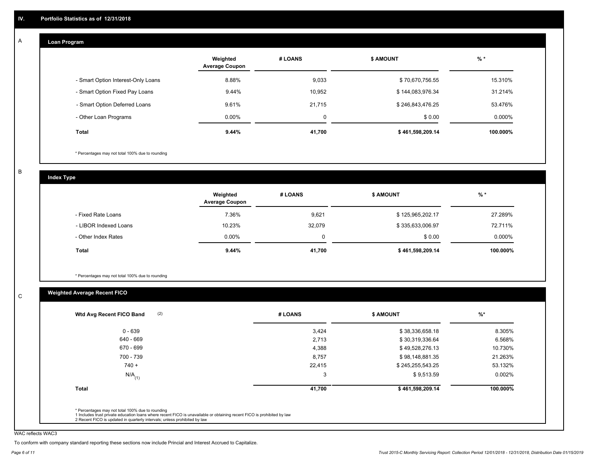#### **Loan Program**  A

|                                    | Weighted<br><b>Average Coupon</b> | # LOANS | <b>\$ AMOUNT</b> | $%$ *     |
|------------------------------------|-----------------------------------|---------|------------------|-----------|
| - Smart Option Interest-Only Loans | 8.88%                             | 9,033   | \$70,670,756.55  | 15.310%   |
| - Smart Option Fixed Pay Loans     | 9.44%                             | 10,952  | \$144,083,976.34 | 31.214%   |
| - Smart Option Deferred Loans      | 9.61%                             | 21.715  | \$246,843,476.25 | 53.476%   |
| - Other Loan Programs              | $0.00\%$                          | 0       | \$0.00           | $0.000\%$ |
| <b>Total</b>                       | 9.44%                             | 41,700  | \$461,598,209.14 | 100.000%  |

\* Percentages may not total 100% due to rounding

B

C

**Index Type**

|                       | Weighted<br><b>Average Coupon</b> | # LOANS | <b>\$ AMOUNT</b> | $%$ *     |
|-----------------------|-----------------------------------|---------|------------------|-----------|
| - Fixed Rate Loans    | 7.36%                             | 9,621   | \$125,965,202.17 | 27.289%   |
| - LIBOR Indexed Loans | 10.23%                            | 32,079  | \$335,633,006.97 | 72.711%   |
| - Other Index Rates   | $0.00\%$                          |         | \$0.00           | $0.000\%$ |
| Total                 | 9.44%                             | 41,700  | \$461,598,209.14 | 100.000%  |

\* Percentages may not total 100% due to rounding

## **Weighted Average Recent FICO**

| 3,424<br>2,713<br>4,388 | \$38,336,658.18<br>\$30,319,336.64<br>\$49,528,276.13 | 8.305%<br>6.568%<br>10.730% |
|-------------------------|-------------------------------------------------------|-----------------------------|
|                         |                                                       |                             |
|                         |                                                       |                             |
|                         |                                                       |                             |
| 8,757                   | \$98,148,881.35                                       | 21.263%                     |
| 22,415                  | \$245,255,543.25                                      | 53.132%                     |
| 3                       | \$9,513.59                                            | $0.002\%$                   |
| 41,700                  | \$461,598,209.14                                      | 100.000%                    |
|                         |                                                       |                             |

WAC reflects WAC3

To conform with company standard reporting these sections now include Princial and Interest Accrued to Capitalize.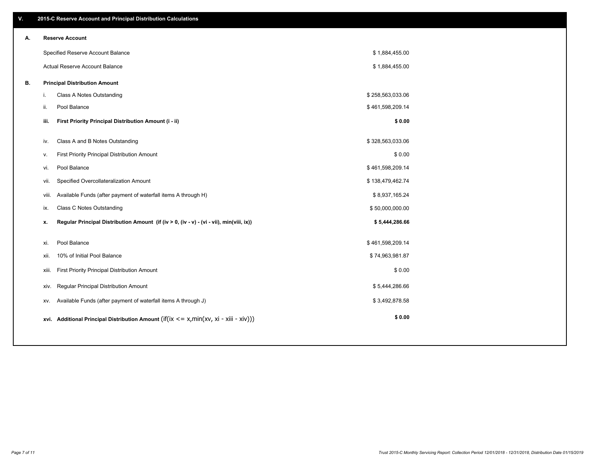| V. |     | 2015-C Reserve Account and Principal Distribution Calculations                                 |                  |  |
|----|-----|------------------------------------------------------------------------------------------------|------------------|--|
| А. |     | <b>Reserve Account</b>                                                                         |                  |  |
|    |     | Specified Reserve Account Balance                                                              | \$1,884,455.00   |  |
|    |     | Actual Reserve Account Balance                                                                 | \$1,884,455.00   |  |
| В. |     | <b>Principal Distribution Amount</b>                                                           |                  |  |
|    | j.  | Class A Notes Outstanding                                                                      | \$258,563,033.06 |  |
|    | ii. | Pool Balance                                                                                   | \$461,598,209.14 |  |
|    |     | First Priority Principal Distribution Amount (i - ii)<br>iii.                                  | \$0.00           |  |
|    |     | Class A and B Notes Outstanding<br>iv.                                                         | \$328,563,033.06 |  |
|    |     | First Priority Principal Distribution Amount                                                   | \$0.00           |  |
|    |     | v.<br>Pool Balance<br>vi.                                                                      | \$461,598,209.14 |  |
|    |     |                                                                                                |                  |  |
|    |     | Specified Overcollateralization Amount<br>vii.                                                 | \$138,479,462.74 |  |
|    |     | Available Funds (after payment of waterfall items A through H)<br>viii.                        | \$8,937,165.24   |  |
|    |     | <b>Class C Notes Outstanding</b><br>ix.                                                        | \$50,000,000.00  |  |
|    |     | Regular Principal Distribution Amount (if (iv > 0, (iv - v) - (vi - vii), min(viii, ix))<br>х. | \$5,444,286.66   |  |
|    |     | Pool Balance<br>xi.                                                                            | \$461,598,209.14 |  |
|    |     | 10% of Initial Pool Balance<br>xii.                                                            | \$74,963,981.87  |  |
|    |     | First Priority Principal Distribution Amount<br>xiii.                                          | \$0.00           |  |
|    |     | Regular Principal Distribution Amount<br>XIV.                                                  | \$5,444,286.66   |  |
|    |     | Available Funds (after payment of waterfall items A through J)<br>XV.                          | \$3,492,878.58   |  |
|    |     | xvi. Additional Principal Distribution Amount (if(ix $\lt$ = x, min(xv, xi - xiii - xiv)))     | \$0.00           |  |
|    |     |                                                                                                |                  |  |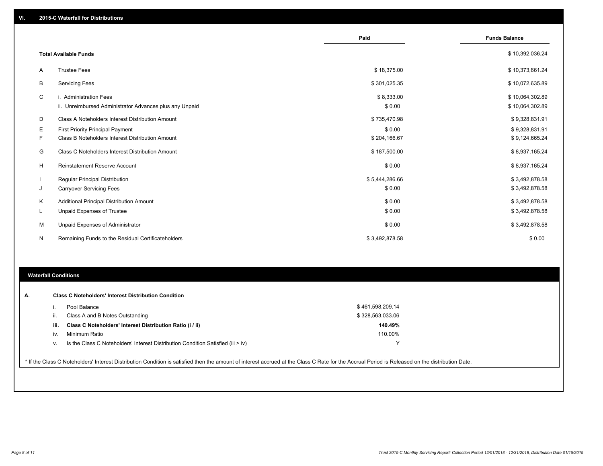|    |                                                         | Paid           | <b>Funds Balance</b> |
|----|---------------------------------------------------------|----------------|----------------------|
|    |                                                         |                |                      |
|    | <b>Total Available Funds</b>                            |                | \$10,392,036.24      |
| A  | <b>Trustee Fees</b>                                     | \$18,375.00    | \$10,373,661.24      |
| B  | <b>Servicing Fees</b>                                   | \$301,025.35   | \$10,072,635.89      |
| C  | i. Administration Fees                                  | \$8,333.00     | \$10,064,302.89      |
|    | ii. Unreimbursed Administrator Advances plus any Unpaid | \$0.00         | \$10,064,302.89      |
| D  | Class A Noteholders Interest Distribution Amount        | \$735,470.98   | \$9,328,831.91       |
| Е  | <b>First Priority Principal Payment</b>                 | \$0.00         | \$9,328,831.91       |
| F. | Class B Noteholders Interest Distribution Amount        | \$204,166.67   | \$9,124,665.24       |
| G  | Class C Noteholders Interest Distribution Amount        | \$187,500.00   | \$8,937,165.24       |
| H  | <b>Reinstatement Reserve Account</b>                    | \$0.00         | \$8,937,165.24       |
|    | <b>Regular Principal Distribution</b>                   | \$5,444,286.66 | \$3,492,878.58       |
| J  | <b>Carryover Servicing Fees</b>                         | \$0.00         | \$3,492,878.58       |
| K  | Additional Principal Distribution Amount                | \$0.00         | \$3,492,878.58       |
| L  | <b>Unpaid Expenses of Trustee</b>                       | \$0.00         | \$3,492,878.58       |
| M  | Unpaid Expenses of Administrator                        | \$0.00         | \$3,492,878.58       |
| N  | Remaining Funds to the Residual Certificateholders      | \$3,492,878.58 | \$0.00               |
|    |                                                         |                |                      |

#### **Waterfall Conditions**

|      | Pool Balance                                                                     | \$461,598,209.14 |  |
|------|----------------------------------------------------------------------------------|------------------|--|
|      | Class A and B Notes Outstanding                                                  | \$328,563,033.06 |  |
| iii. | Class C Noteholders' Interest Distribution Ratio (i / ii)                        | 140.49%          |  |
| iv.  | Minimum Ratio                                                                    | 110.00%          |  |
|      | Is the Class C Noteholders' Interest Distribution Condition Satisfied (iii > iv) |                  |  |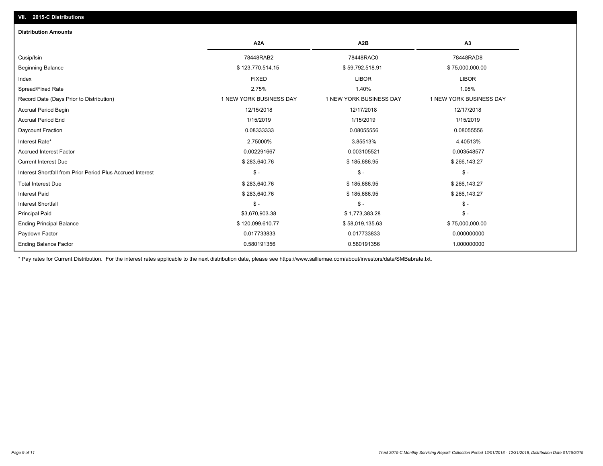## **VII. 2015-C Distributions**

| <b>Distribution Amounts</b>                                |                         |                         |                         |
|------------------------------------------------------------|-------------------------|-------------------------|-------------------------|
|                                                            | A <sub>2</sub> A        | A <sub>2</sub> B        | A3                      |
| Cusip/Isin                                                 | 78448RAB2               | 78448RAC0               | 78448RAD8               |
| <b>Beginning Balance</b>                                   | \$123,770,514.15        | \$59,792,518.91         | \$75,000,000.00         |
| Index                                                      | <b>FIXED</b>            | <b>LIBOR</b>            | <b>LIBOR</b>            |
| Spread/Fixed Rate                                          | 2.75%                   | 1.40%                   | 1.95%                   |
| Record Date (Days Prior to Distribution)                   | 1 NEW YORK BUSINESS DAY | 1 NEW YORK BUSINESS DAY | 1 NEW YORK BUSINESS DAY |
| <b>Accrual Period Begin</b>                                | 12/15/2018              | 12/17/2018              | 12/17/2018              |
| <b>Accrual Period End</b>                                  | 1/15/2019               | 1/15/2019               | 1/15/2019               |
| Daycount Fraction                                          | 0.08333333              | 0.08055556              | 0.08055556              |
| Interest Rate*                                             | 2.75000%                | 3.85513%                | 4.40513%                |
| <b>Accrued Interest Factor</b>                             | 0.002291667             | 0.003105521             | 0.003548577             |
| <b>Current Interest Due</b>                                | \$283,640.76            | \$185,686.95            | \$266,143.27            |
| Interest Shortfall from Prior Period Plus Accrued Interest | $$ -$                   | $\mathcal{S}$ -         | $$ -$                   |
| <b>Total Interest Due</b>                                  | \$283,640.76            | \$185,686.95            | \$266,143.27            |
| <b>Interest Paid</b>                                       | \$283,640.76            | \$185,686.95            | \$266,143.27            |
| <b>Interest Shortfall</b>                                  | $$ -$                   | $\mathbb{S}$ -          | $$ -$                   |
| <b>Principal Paid</b>                                      | \$3,670,903.38          | \$1,773,383.28          | $$ -$                   |
| <b>Ending Principal Balance</b>                            | \$120,099,610.77        | \$58,019,135.63         | \$75,000,000.00         |
| Paydown Factor                                             | 0.017733833             | 0.017733833             | 0.000000000             |
| <b>Ending Balance Factor</b>                               | 0.580191356             | 0.580191356             | 1.000000000             |

\* Pay rates for Current Distribution. For the interest rates applicable to the next distribution date, please see https://www.salliemae.com/about/investors/data/SMBabrate.txt.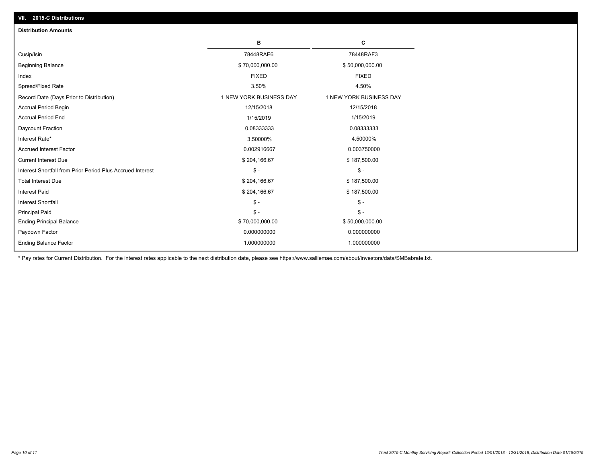| <b>Distribution Amounts</b>                                |                         |                         |
|------------------------------------------------------------|-------------------------|-------------------------|
|                                                            | в                       | C                       |
| Cusip/Isin                                                 | 78448RAE6               | 78448RAF3               |
| <b>Beginning Balance</b>                                   | \$70,000,000.00         | \$50,000,000.00         |
| Index                                                      | <b>FIXED</b>            | <b>FIXED</b>            |
| Spread/Fixed Rate                                          | 3.50%                   | 4.50%                   |
| Record Date (Days Prior to Distribution)                   | 1 NEW YORK BUSINESS DAY | 1 NEW YORK BUSINESS DAY |
| <b>Accrual Period Begin</b>                                | 12/15/2018              | 12/15/2018              |
| <b>Accrual Period End</b>                                  | 1/15/2019               | 1/15/2019               |
| Daycount Fraction                                          | 0.08333333              | 0.08333333              |
| Interest Rate*                                             | 3.50000%                | 4.50000%                |
| <b>Accrued Interest Factor</b>                             | 0.002916667             | 0.003750000             |
| <b>Current Interest Due</b>                                | \$204,166.67            | \$187,500.00            |
| Interest Shortfall from Prior Period Plus Accrued Interest | $\mathcal{S}$ -         | $\frac{1}{2}$           |
| <b>Total Interest Due</b>                                  | \$204,166.67            | \$187,500.00            |
| <b>Interest Paid</b>                                       | \$204,166.67            | \$187,500.00            |
| <b>Interest Shortfall</b>                                  | $\mathsf{\$}$ -         | $\mathsf{\$}$ -         |
| <b>Principal Paid</b>                                      | $\mathsf{\$}$ -         | $\mathsf{\$}$ -         |
| <b>Ending Principal Balance</b>                            | \$70,000,000.00         | \$50,000,000.00         |
| Paydown Factor                                             | 0.000000000             | 0.000000000             |
| <b>Ending Balance Factor</b>                               | 1.000000000             | 1.000000000             |

\* Pay rates for Current Distribution. For the interest rates applicable to the next distribution date, please see https://www.salliemae.com/about/investors/data/SMBabrate.txt.

**VII. 2015-C Distributions**